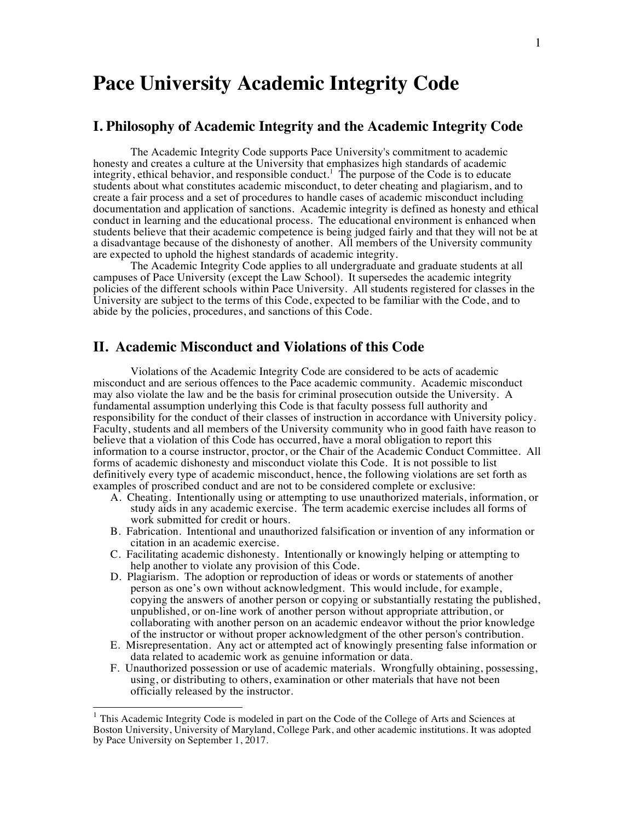# **Pace University Academic Integrity Code**

### **I. Philosophy of Academic Integrity and the Academic Integrity Code**

The Academic Integrity Code supports Pace University's commitment to academic honesty and creates a culture at the University that emphasizes high standards of academic integrity, ethical behavior, and responsible conduct.<sup>1</sup> The purpose of the Code is to educate students about what constitutes academic misconduct, to deter cheating and plagiarism, and to create a fair process and a set of procedures to handle cases of academic misconduct including documentation and application of sanctions. Academic integrity is defined as honesty and ethical conduct in learning and the educational process. The educational environment is enhanced when students believe that their academic competence is being judged fairly and that they will not be at a disadvantage because of the dishonesty of another. All members of the University community are expected to uphold the highest standards of academic integrity.

The Academic Integrity Code applies to all undergraduate and graduate students at all campuses of Pace University (except the Law School). It supersedes the academic integrity policies of the different schools within Pace University. All students registered for classes in the University are subject to the terms of this Code, expected to be familiar with the Code, and to abide by the policies, procedures, and sanctions of this Code.

### **II. Academic Misconduct and Violations of this Code**

Violations of the Academic Integrity Code are considered to be acts of academic misconduct and are serious offences to the Pace academic community. Academic misconduct may also violate the law and be the basis for criminal prosecution outside the University. A fundamental assumption underlying this Code is that faculty possess full authority and responsibility for the conduct of their classes of instruction in accordance with University policy. Faculty, students and all members of the University community who in good faith have reason to believe that a violation of this Code has occurred, have a moral obligation to report this information to a course instructor, proctor, or the Chair of the Academic Conduct Committee. All forms of academic dishonesty and misconduct violate this Code. It is not possible to list definitively every type of academic misconduct, hence, the following violations are set forth as examples of proscribed conduct and are not to be considered complete or exclusive:

- A. Cheating. Intentionally using or attempting to use unauthorized materials, information, or study aids in any academic exercise. The term academic exercise includes all forms of work submitted for credit or hours.
- B. Fabrication. Intentional and unauthorized falsification or invention of any information or citation in an academic exercise.
- C. Facilitating academic dishonesty. Intentionally or knowingly helping or attempting to help another to violate any provision of this Code.
- D. Plagiarism. The adoption or reproduction of ideas or words or statements of another person as one's own without acknowledgment. This would include, for example, copying the answers of another person or copying or substantially restating the published, unpublished, or on-line work of another person without appropriate attribution, or collaborating with another person on an academic endeavor without the prior knowledge of the instructor or without proper acknowledgment of the other person's contribution.
- E. Misrepresentation. Any act or attempted act of knowingly presenting false information or data related to academic work as genuine information or data.
- F. Unauthorized possession or use of academic materials. Wrongfully obtaining, possessing, using, or distributing to others, examination or other materials that have not been officially released by the instructor.

 $1$  This Academic Integrity Code is modeled in part on the Code of the College of Arts and Sciences at Boston University, University of Maryland, College Park, and other academic institutions. It was adopted by Pace University on September 1, 2017.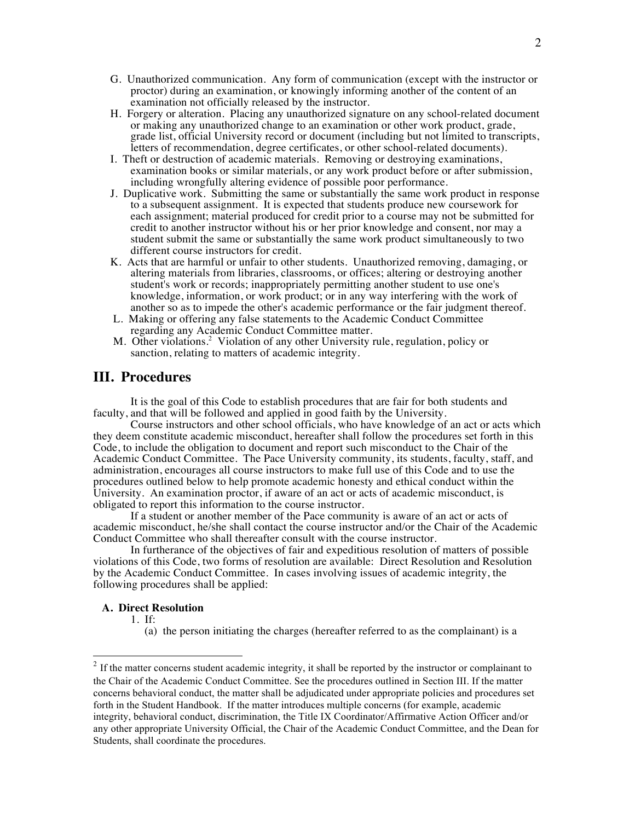- G. Unauthorized communication. Any form of communication (except with the instructor or proctor) during an examination, or knowingly informing another of the content of an examination not officially released by the instructor.
- H. Forgery or alteration. Placing any unauthorized signature on any school-related document or making any unauthorized change to an examination or other work product, grade, grade list, official University record or document (including but not limited to transcripts, letters of recommendation, degree certificates, or other school-related documents).
- I. Theft or destruction of academic materials. Removing or destroying examinations, examination books or similar materials, or any work product before or after submission, including wrongfully altering evidence of possible poor performance.
- J. Duplicative work. Submitting the same or substantially the same work product in response. to a subsequent assignment. It is expected that students produce new coursework for each assignment; material produced for credit prior to a course may not be submitted for credit to another instructor without his or her prior knowledge and consent, nor may a student submit the same or substantially the same work product simultaneously to two different course instructors for credit.
- K. Acts that are harmful or unfair to other students. Unauthorized removing, damaging, or altering materials from libraries, classrooms, or offices; altering or destroying another student's work or records; inappropriately permitting another student to use one's knowledge, information, or work product; or in any way interfering with the work of another so as to impede the other's academic performance or the fair judgment thereof.
- L. Making or offering any false statements to the Academic Conduct Committee regarding any Academic Conduct Committee matter.
- M. Other violations.<sup>2</sup> Violation of any other University rule, regulation, policy or sanction, relating to matters of academic integrity.

### **III. Procedures**

It is the goal of this Code to establish procedures that are fair for both students and faculty, and that will be followed and applied in good faith by the University.

Course instructors and other school officials, who have knowledge of an act or acts which they deem constitute academic misconduct, hereafter shall follow the procedures set forth in this Code, to include the obligation to document and report such misconduct to the Chair of the Academic Conduct Committee. The Pace University community, its students, faculty, staff, and administration, encourages all course instructors to make full use of this Code and to use the procedures outlined below to help promote academic honesty and ethical conduct within the University. An examination proctor, if aware of an act or acts of academic misconduct, is obligated to report this information to the course instructor.

If a student or another member of the Pace community is aware of an act or acts of academic misconduct, he/she shall contact the course instructor and/or the Chair of the Academic Conduct Committee who shall thereafter consult with the course instructor.

In furtherance of the objectives of fair and expeditious resolution of matters of possible violations of this Code, two forms of resolution are available: Direct Resolution and Resolution by the Academic Conduct Committee. In cases involving issues of academic integrity, the following procedures shall be applied:

#### **A. Direct Resolution**

1. If:

(a) the person initiating the charges (hereafter referred to as the complainant) is a

<sup>&</sup>lt;sup>2</sup> If the matter concerns student academic integrity, it shall be reported by the instructor or complainant to the Chair of the Academic Conduct Committee. See the procedures outlined in Section III. If the matter concerns behavioral conduct, the matter shall be adjudicated under appropriate policies and procedures set forth in the Student Handbook. If the matter introduces multiple concerns (for example, academic integrity, behavioral conduct, discrimination, the Title IX Coordinator/Affirmative Action Officer and/or any other appropriate University Official, the Chair of the Academic Conduct Committee, and the Dean for Students, shall coordinate the procedures.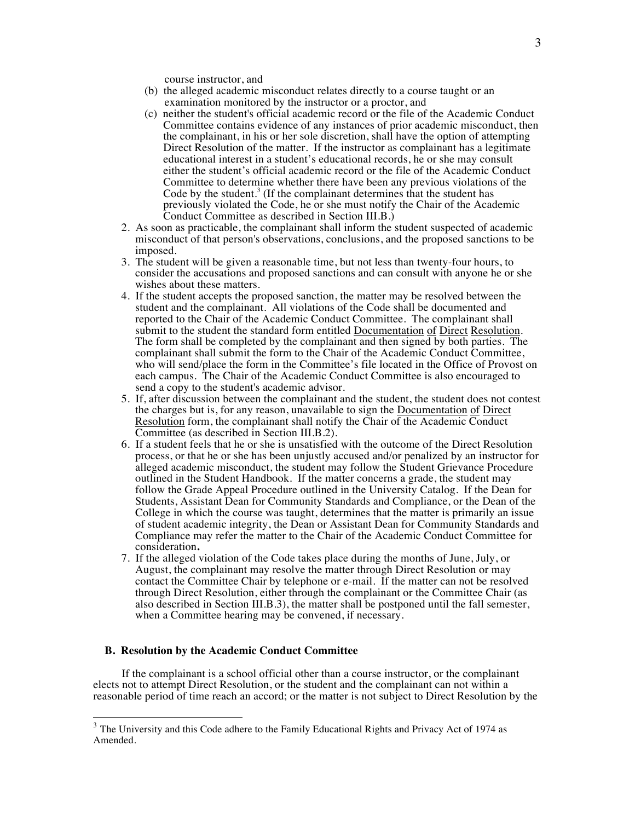course instructor, and

- (b) the alleged academic misconduct relates directly to a course taught or an examination monitored by the instructor or a proctor, and
- (c) neither the student's official academic record or the file of the Academic Conduct Committee contains evidence of any instances of prior academic misconduct, then the complainant, in his or her sole discretion, shall have the option of attempting Direct Resolution of the matter. If the instructor as complainant has a legitimate educational interest in a student's educational records, he or she may consult either the student's official academic record or the file of the Academic Conduct Committee to determine whether there have been any previous violations of the Code by the student.<sup>3</sup> (If the complainant determines that the student has previously violated the Code, he or she must notify the Chair of the Academic Conduct Committee as described in Section III.B.)
- 2. As soon as practicable, the complainant shall inform the student suspected of academic misconduct of that person's observations, conclusions, and the proposed sanctions to be imposed.
- 3. The student will be given a reasonable time, but not less than twenty-four hours, to consider the accusations and proposed sanctions and can consult with anyone he or she wishes about these matters.
- 4. If the student accepts the proposed sanction, the matter may be resolved between the student and the complainant. All violations of the Code shall be documented and reported to the Chair of the Academic Conduct Committee. The complainant shall submit to the student the standard form entitled Documentation of Direct Resolution. The form shall be completed by the complainant and then signed by both parties. The complainant shall submit the form to the Chair of the Academic Conduct Committee, who will send/place the form in the Committee's file located in the Office of Provost on each campus. The Chair of the Academic Conduct Committee is also encouraged to send a copy to the student's academic advisor.
- 5. If, after discussion between the complainant and the student, the student does not contest the charges but is, for any reason, unavailable to sign the Documentation of Direct Resolution form, the complainant shall notify the Chair of the Academic Conduct Committee (as described in Section III.B.2).
- 6. If a student feels that he or she is unsatisfied with the outcome of the Direct Resolution process, or that he or she has been unjustly accused and/or penalized by an instructor for alleged academic misconduct, the student may follow the Student Grievance Procedure outlined in the Student Handbook. If the matter concerns a grade, the student may follow the Grade Appeal Procedure outlined in the University Catalog. If the Dean for Students, Assistant Dean for Community Standards and Compliance, or the Dean of the College in which the course was taught, determines that the matter is primarily an issue of student academic integrity, the Dean or Assistant Dean for Community Standards and Compliance may refer the matter to the Chair of the Academic Conduct Committee for consideration**.**
- 7. If the alleged violation of the Code takes place during the months of June, July, or August, the complainant may resolve the matter through Direct Resolution or may contact the Committee Chair by telephone or e-mail. If the matter can not be resolved through Direct Resolution, either through the complainant or the Committee Chair (as also described in Section III.B.3), the matter shall be postponed until the fall semester, when a Committee hearing may be convened, if necessary.

#### **B. Resolution by the Academic Conduct Committee**

 If the complainant is a school official other than a course instructor, or the complainant elects not to attempt Direct Resolution, or the student and the complainant can not within a reasonable period of time reach an accord; or the matter is not subject to Direct Resolution by the

 $3$  The University and this Code adhere to the Family Educational Rights and Privacy Act of 1974 as Amended.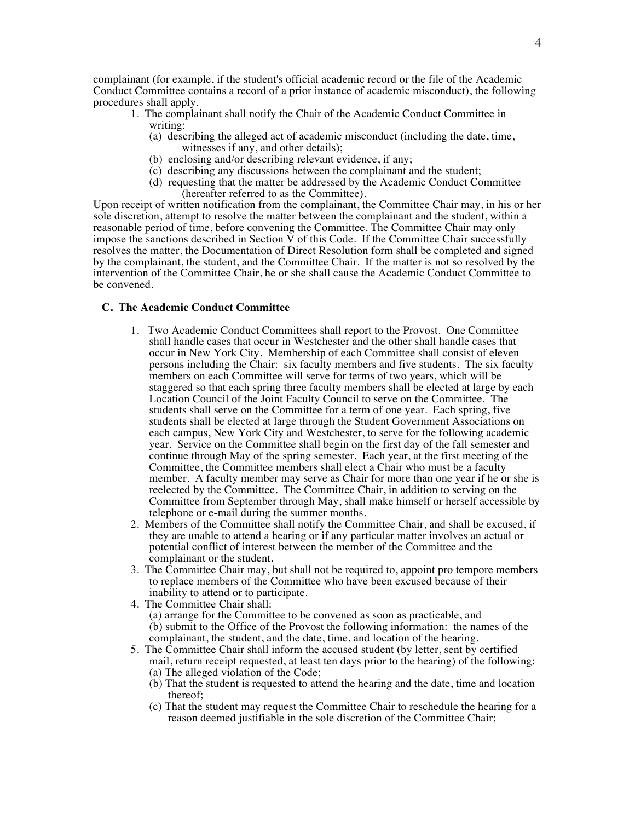complainant (for example, if the student's official academic record or the file of the Academic Conduct Committee contains a record of a prior instance of academic misconduct), the following procedures shall apply.

- 1. The complainant shall notify the Chair of the Academic Conduct Committee in writing:
	- (a) describing the alleged act of academic misconduct (including the date, time, witnesses if any, and other details);
	- (b) enclosing and/or describing relevant evidence, if any;
	- (c) describing any discussions between the complainant and the student;
	- (d) requesting that the matter be addressed by the Academic Conduct Committee (hereafter referred to as the Committee).

Upon receipt of written notification from the complainant, the Committee Chair may, in his or her sole discretion, attempt to resolve the matter between the complainant and the student, within a reasonable period of time, before convening the Committee. The Committee Chair may only impose the sanctions described in Section  $\tilde{V}$  of this Code. If the Committee Chair successfully resolves the matter, the Documentation of Direct Resolution form shall be completed and signed by the complainant, the student, and the  $\overline{\text{Committee Chain}}$ . If the matter is not so resolved by the intervention of the Committee Chair, he or she shall cause the Academic Conduct Committee to be convened.

#### **C. The Academic Conduct Committee**

- 1. Two Academic Conduct Committees shall report to the Provost. One Committee shall handle cases that occur in Westchester and the other shall handle cases that occur in New York City. Membership of each Committee shall consist of eleven persons including the Chair: six faculty members and five students. The six faculty members on each Committee will serve for terms of two years, which will be staggered so that each spring three faculty members shall be elected at large by each Location Council of the Joint Faculty Council to serve on the Committee. The students shall serve on the Committee for a term of one year. Each spring, five students shall be elected at large through the Student Government Associations on each campus, New York City and Westchester, to serve for the following academic year. Service on the Committee shall begin on the first day of the fall semester and continue through May of the spring semester. Each year, at the first meeting of the Committee, the Committee members shall elect a Chair who must be a faculty member. A faculty member may serve as Chair for more than one year if he or she is reelected by the Committee. The Committee Chair, in addition to serving on the Committee from September through May, shall make himself or herself accessible by telephone or e-mail during the summer months.
- 2. Members of the Committee shall notify the Committee Chair, and shall be excused, if they are unable to attend a hearing or if any particular matter involves an actual or potential conflict of interest between the member of the Committee and the complainant or the student.
- 3. The Committee Chair may, but shall not be required to, appoint pro tempore members to replace members of the Committee who have been excused because of their inability to attend or to participate.
- 4. The Committee Chair shall: (a) arrange for the Committee to be convened as soon as practicable, and (b) submit to the Office of the Provost the following information: the names of the complainant, the student, and the date, time, and location of the hearing.
- 5. The Committee Chair shall inform the accused student (by letter, sent by certified mail, return receipt requested, at least ten days prior to the hearing) of the following: (a) The alleged violation of the Code;
	- (b) That the student is requested to attend the hearing and the date, time and location thereof;
	- (c) That the student may request the Committee Chair to reschedule the hearing for a reason deemed justifiable in the sole discretion of the Committee Chair;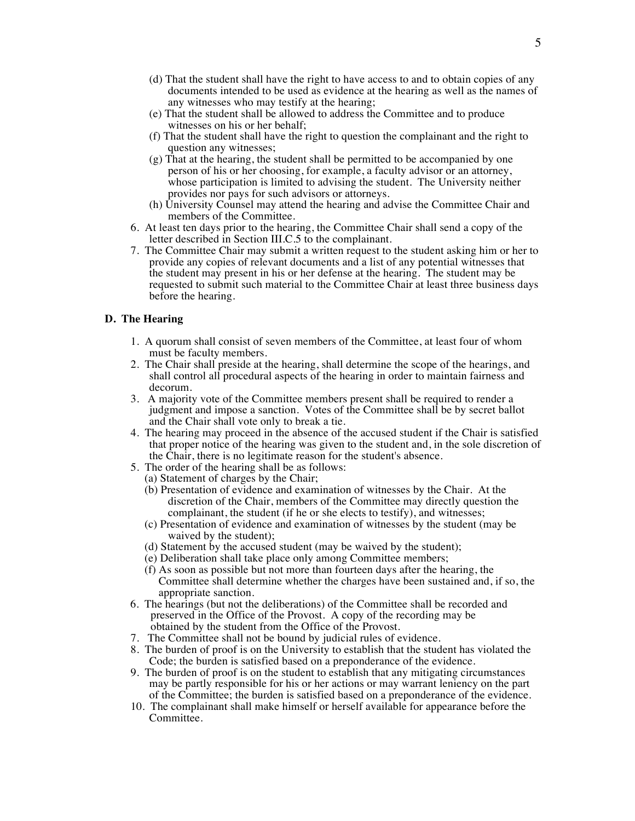- (d) That the student shall have the right to have access to and to obtain copies of any documents intended to be used as evidence at the hearing as well as the names of any witnesses who may testify at the hearing;
- (e) That the student shall be allowed to address the Committee and to produce witnesses on his or her behalf;
- (f) That the student shall have the right to question the complainant and the right to question any witnesses;
- (g) That at the hearing, the student shall be permitted to be accompanied by one person of his or her choosing, for example, a faculty advisor or an attorney, whose participation is limited to advising the student. The University neither provides nor pays for such advisors or attorneys.
- (h) University Counsel may attend the hearing and advise the Committee Chair and members of the Committee.
- 6. At least ten days prior to the hearing, the Committee Chair shall send a copy of the letter described in Section III.C.5 to the complainant.
- 7. The Committee Chair may submit a written request to the student asking him or her to provide any copies of relevant documents and a list of any potential witnesses that the student may present in his or her defense at the hearing. The student may be requested to submit such material to the Committee Chair at least three business days before the hearing.

### **D. The Hearing**

- 1. A quorum shall consist of seven members of the Committee, at least four of whom must be faculty members.
- 2. The Chair shall preside at the hearing, shall determine the scope of the hearings, and shall control all procedural aspects of the hearing in order to maintain fairness and decorum.
- 3. A majority vote of the Committee members present shall be required to render a judgment and impose a sanction. Votes of the Committee shall be by secret ballot and the Chair shall vote only to break a tie.
- 4. The hearing may proceed in the absence of the accused student if the Chair is satisfied that proper notice of the hearing was given to the student and, in the sole discretion of the Chair, there is no legitimate reason for the student's absence.
- 5. The order of the hearing shall be as follows:
	- (a) Statement of charges by the Chair;
	- (b) Presentation of evidence and examination of witnesses by the Chair. At the discretion of the Chair, members of the Committee may directly question the complainant, the student (if he or she elects to testify), and witnesses;
	- (c) Presentation of evidence and examination of witnesses by the student (may be waived by the student);
	- (d) Statement by the accused student (may be waived by the student);
	- (e) Deliberation shall take place only among Committee members;
	- (f) As soon as possible but not more than fourteen days after the hearing, the Committee shall determine whether the charges have been sustained and, if so, the appropriate sanction.
- 6. The hearings (but not the deliberations) of the Committee shall be recorded and preserved in the Office of the Provost. A copy of the recording may be obtained by the student from the Office of the Provost.
- 7. The Committee shall not be bound by judicial rules of evidence.
- 8. The burden of proof is on the University to establish that the student has violated the Code; the burden is satisfied based on a preponderance of the evidence.
- 9. The burden of proof is on the student to establish that any mitigating circumstances may be partly responsible for his or her actions or may warrant leniency on the part of the Committee; the burden is satisfied based on a preponderance of the evidence.
- 10. The complainant shall make himself or herself available for appearance before the Committee.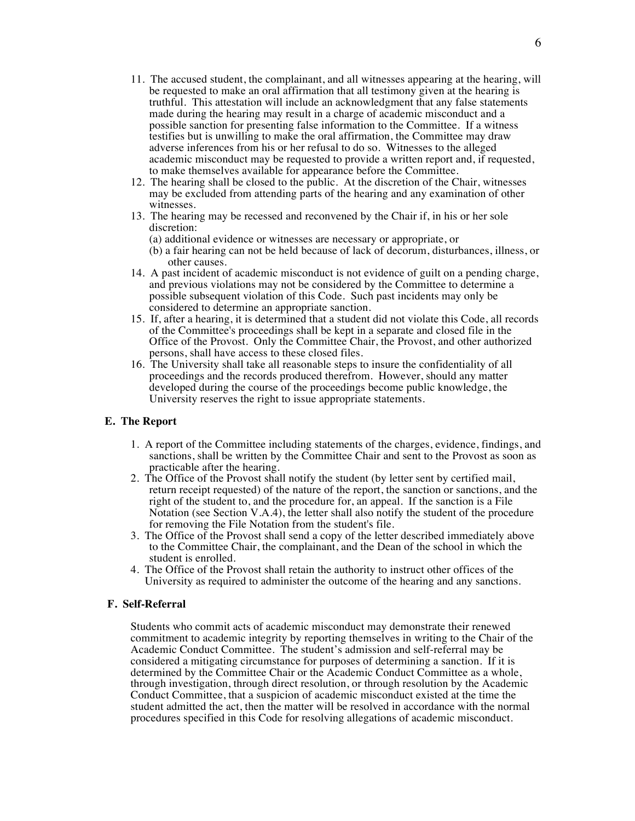- 11. The accused student, the complainant, and all witnesses appearing at the hearing, will be requested to make an oral affirmation that all testimony given at the hearing is truthful. This attestation will include an acknowledgment that any false statements made during the hearing may result in a charge of academic misconduct and a possible sanction for presenting false information to the Committee. If a witness testifies but is unwilling to make the oral affirmation, the Committee may draw adverse inferences from his or her refusal to do so. Witnesses to the alleged academic misconduct may be requested to provide a written report and, if requested, to make themselves available for appearance before the Committee.
- 12. The hearing shall be closed to the public. At the discretion of the Chair, witnesses may be excluded from attending parts of the hearing and any examination of other witnesses.
- 13. The hearing may be recessed and reconvened by the Chair if, in his or her sole discretion:
	- (a) additional evidence or witnesses are necessary or appropriate, or
	- (b) a fair hearing can not be held because of lack of decorum, disturbances, illness, or other causes.
- 14. A past incident of academic misconduct is not evidence of guilt on a pending charge, and previous violations may not be considered by the Committee to determine a possible subsequent violation of this Code. Such past incidents may only be considered to determine an appropriate sanction.
- 15. If, after a hearing, it is determined that a student did not violate this Code, all records of the Committee's proceedings shall be kept in a separate and closed file in the Office of the Provost. Only the Committee Chair, the Provost, and other authorized persons, shall have access to these closed files.
- 16. The University shall take all reasonable steps to insure the confidentiality of all proceedings and the records produced therefrom. However, should any matter developed during the course of the proceedings become public knowledge, the University reserves the right to issue appropriate statements.

#### **E. The Report**

- 1. A report of the Committee including statements of the charges, evidence, findings, and sanctions, shall be written by the Committee Chair and sent to the Provost as soon as practicable after the hearing.
- 2. The Office of the Provost shall notify the student (by letter sent by certified mail, return receipt requested) of the nature of the report, the sanction or sanctions, and the right of the student to, and the procedure for, an appeal. If the sanction is a File Notation (see Section V.A.4), the letter shall also notify the student of the procedure for removing the File Notation from the student's file.
- 3. The Office of the Provost shall send a copy of the letter described immediately above to the Committee Chair, the complainant, and the Dean of the school in which the student is enrolled.
- 4. The Office of the Provost shall retain the authority to instruct other offices of the University as required to administer the outcome of the hearing and any sanctions.

### **F. Self-Referral**

Students who commit acts of academic misconduct may demonstrate their renewed commitment to academic integrity by reporting themselves in writing to the Chair of the Academic Conduct Committee. The student's admission and self-referral may be considered a mitigating circumstance for purposes of determining a sanction. If it is determined by the Committee Chair or the Academic Conduct Committee as a whole, through investigation, through direct resolution, or through resolution by the Academic Conduct Committee, that a suspicion of academic misconduct existed at the time the student admitted the act, then the matter will be resolved in accordance with the normal procedures specified in this Code for resolving allegations of academic misconduct.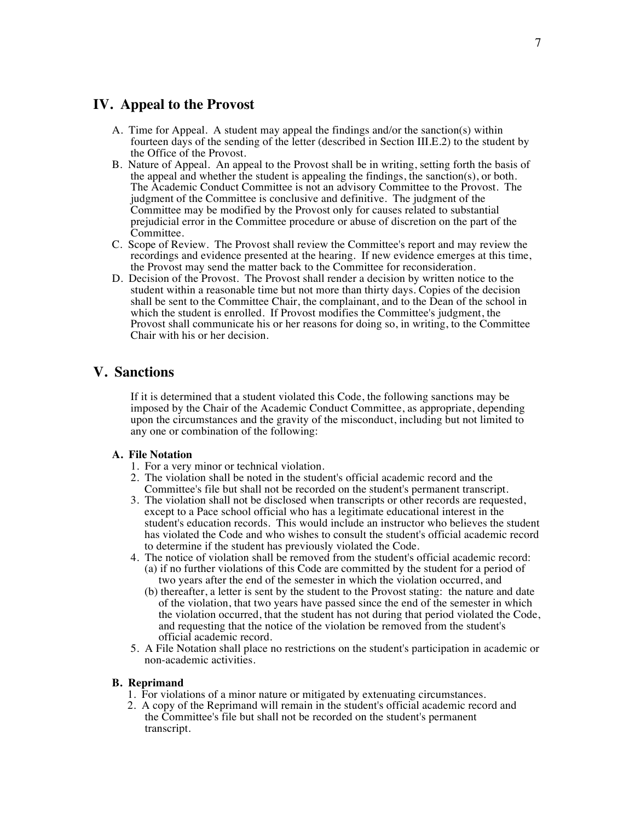### **IV. Appeal to the Provost**

- A. Time for Appeal. A student may appeal the findings and/or the sanction(s) within fourteen days of the sending of the letter (described in Section III.E.2) to the student by the Office of the Provost.
- B. Nature of Appeal. An appeal to the Provost shall be in writing, setting forth the basis of the appeal and whether the student is appealing the findings, the sanction(s), or both. The Academic Conduct Committee is not an advisory Committee to the Provost. The judgment of the Committee is conclusive and definitive. The judgment of the Committee may be modified by the Provost only for causes related to substantial prejudicial error in the Committee procedure or abuse of discretion on the part of the Committee.
- C. Scope of Review. The Provost shall review the Committee's report and may review the recordings and evidence presented at the hearing. If new evidence emerges at this time, the Provost may send the matter back to the Committee for reconsideration.
- D. Decision of the Provost. The Provost shall render a decision by written notice to the student within a reasonable time but not more than thirty days. Copies of the decision shall be sent to the Committee Chair, the complainant, and to the Dean of the school in which the student is enrolled. If Provost modifies the Committee's judgment, the Provost shall communicate his or her reasons for doing so, in writing, to the Committee Chair with his or her decision.

## **V. Sanctions**

If it is determined that a student violated this Code, the following sanctions may be imposed by the Chair of the Academic Conduct Committee, as appropriate, depending upon the circumstances and the gravity of the misconduct, including but not limited to any one or combination of the following:

### **A. File Notation**

- 1. For a very minor or technical violation.
- 2. The violation shall be noted in the student's official academic record and the Committee's file but shall not be recorded on the student's permanent transcript.
- 3. The violation shall not be disclosed when transcripts or other records are requested, except to a Pace school official who has a legitimate educational interest in the student's education records. This would include an instructor who believes the student has violated the Code and who wishes to consult the student's official academic record to determine if the student has previously violated the Code.
- 4. The notice of violation shall be removed from the student's official academic record: (a) if no further violations of this Code are committed by the student for a period of two years after the end of the semester in which the violation occurred, and
	- (b) thereafter, a letter is sent by the student to the Provost stating: the nature and date of the violation, that two years have passed since the end of the semester in which the violation occurred, that the student has not during that period violated the Code, and requesting that the notice of the violation be removed from the student's official academic record.
- 5. A File Notation shall place no restrictions on the student's participation in academic or non-academic activities.

### **B. Reprimand**

- 1. For violations of a minor nature or mitigated by extenuating circumstances.
- 2. A copy of the Reprimand will remain in the student's official academic record and the Committee's file but shall not be recorded on the student's permanent transcript.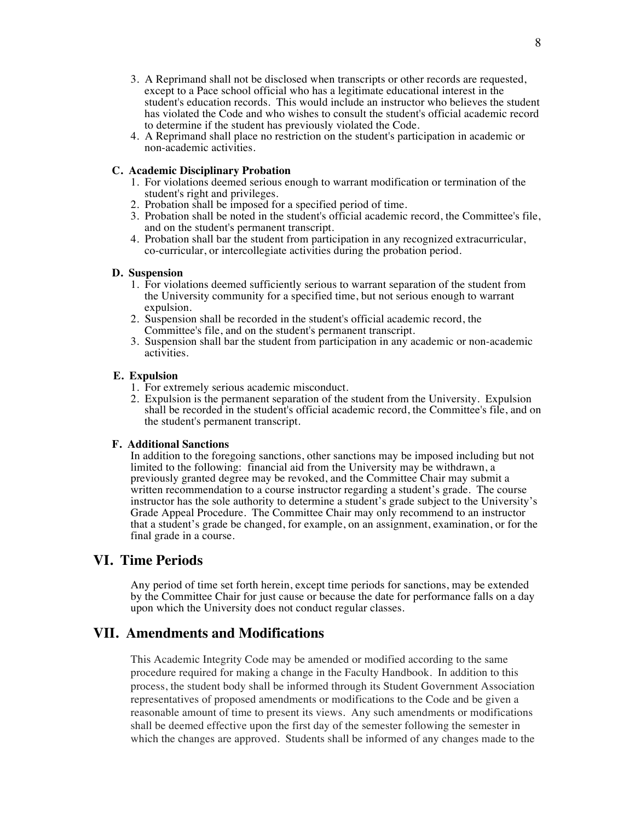8

- 3. A Reprimand shall not be disclosed when transcripts or other records are requested, except to a Pace school official who has a legitimate educational interest in the student's education records. This would include an instructor who believes the student has violated the Code and who wishes to consult the student's official academic record to determine if the student has previously violated the Code.
- 4. A Reprimand shall place no restriction on the student's participation in academic or non-academic activities.

### **C. Academic Disciplinary Probation**

- 1. For violations deemed serious enough to warrant modification or termination of the student's right and privileges.
- 2. Probation shall be imposed for a specified period of time.
- 3. Probation shall be noted in the student's official academic record, the Committee's file, and on the student's permanent transcript.
- 4. Probation shall bar the student from participation in any recognized extracurricular, co-curricular, or intercollegiate activities during the probation period.

### **D. Suspension**

- 1. For violations deemed sufficiently serious to warrant separation of the student from the University community for a specified time, but not serious enough to warrant expulsion.
- 2. Suspension shall be recorded in the student's official academic record, the Committee's file, and on the student's permanent transcript.
- 3. Suspension shall bar the student from participation in any academic or non-academic activities.

### **E. Expulsion**

- 1. For extremely serious academic misconduct.
- 2. Expulsion is the permanent separation of the student from the University. Expulsion shall be recorded in the student's official academic record, the Committee's file, and on the student's permanent transcript.

### **F. Additional Sanctions**

In addition to the foregoing sanctions, other sanctions may be imposed including but not limited to the following: financial aid from the University may be withdrawn,  $a$ previously granted degree may be revoked, and the Committee Chair may submit a written recommendation to a course instructor regarding a student's grade. The course instructor has the sole authority to determine a student's grade subject to the University's Grade Appeal Procedure. The Committee Chair may only recommend to an instructor that a student's grade be changed, for example, on an assignment, examination, or for the final grade in a course.

# **VI. Time Periods**

Any period of time set forth herein, except time periods for sanctions, may be extended by the Committee Chair for just cause or because the date for performance falls on a day upon which the University does not conduct regular classes.

# **VII. Amendments and Modifications**

This Academic Integrity Code may be amended or modified according to the same procedure required for making a change in the Faculty Handbook. In addition to this process, the student body shall be informed through its Student Government Association representatives of proposed amendments or modifications to the Code and be given a reasonable amount of time to present its views. Any such amendments or modifications shall be deemed effective upon the first day of the semester following the semester in which the changes are approved. Students shall be informed of any changes made to the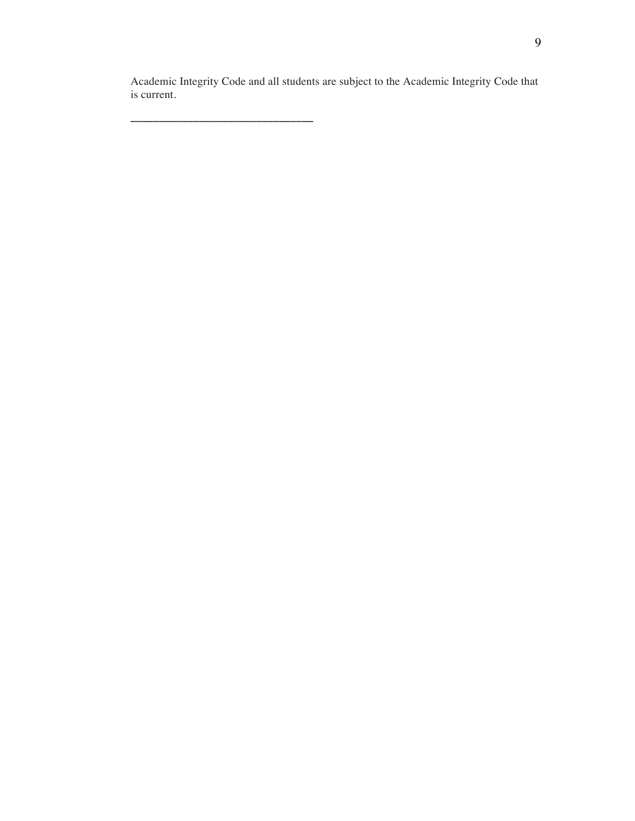Academic Integrity Code and all students are subject to the Academic Integrity Code that is current.

**\_\_\_\_\_\_\_\_\_\_\_\_\_\_\_\_\_\_\_\_\_\_\_\_\_\_\_\_\_\_\_\_**

9